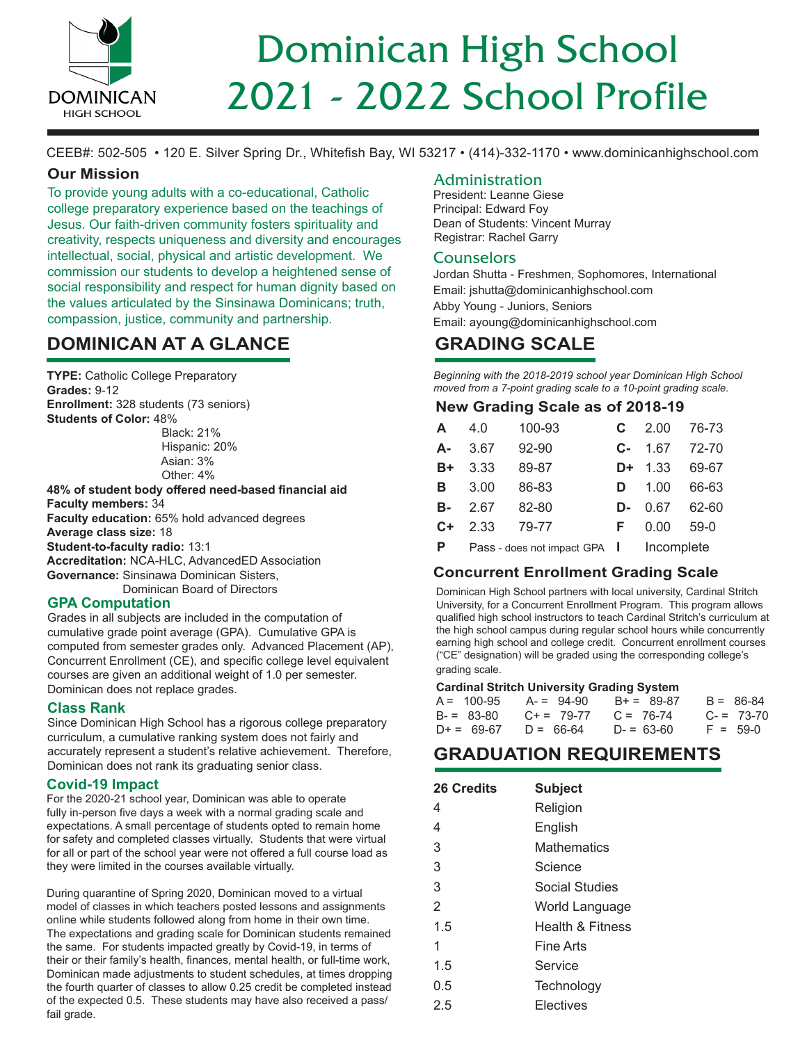

# 2021 - 2022 School Profile Dominican High School

CEEB#: 502-505 • 120 E. Silver Spring Dr., Whitefish Bay, WI 53217 • (414)-332-1170 • www.dominicanhighschool.com

# **Our Mission**

To provide young adults with a co-educational, Catholic college preparatory experience based on the teachings of Jesus. Our faith-driven community fosters spirituality and creativity, respects uniqueness and diversity and encourages intellectual, social, physical and artistic development. We commission our students to develop a heightened sense of social responsibility and respect for human dignity based on the values articulated by the Sinsinawa Dominicans; truth, compassion, justice, community and partnership.

# **DOMINICAN AT A GLANCE**

**TYPE:** Catholic College Preparatory **Grades:** 9-12 **Enrollment:** 328 students (73 seniors) **Students of Color:** 48%

> Black: 21% Hispanic: 20% Asian: 3% Other: 4%

**48% of student body offered need-based financial aid Faculty members:** 34 **Faculty education:** 65% hold advanced degrees **Average class size:** 18 **Student-to-faculty radio:** 13:1 **Accreditation:** NCA-HLC, AdvancedED Association **Governance:** Sinsinawa Dominican Sisters, Dominican Board of Directors

# **GPA Computation**

Grades in all subjects are included in the computation of cumulative grade point average (GPA). Cumulative GPA is computed from semester grades only. Advanced Placement (AP), Concurrent Enrollment (CE), and specific college level equivalent courses are given an additional weight of 1.0 per semester. Dominican does not replace grades.

# **Class Rank**

Since Dominican High School has a rigorous college preparatory curriculum, a cumulative ranking system does not fairly and accurately represent a student's relative achievement. Therefore, Dominican does not rank its graduating senior class.

# **Covid-19 Impact**

For the 2020-21 school year, Dominican was able to operate fully in-person five days a week with a normal grading scale and expectations. A small percentage of students opted to remain home for safety and completed classes virtually. Students that were virtual for all or part of the school year were not offered a full course load as they were limited in the courses available virtually.

During quarantine of Spring 2020, Dominican moved to a virtual model of classes in which teachers posted lessons and assignments online while students followed along from home in their own time. The expectations and grading scale for Dominican students remained the same. For students impacted greatly by Covid-19, in terms of their or their family's health, finances, mental health, or full-time work, Dominican made adjustments to student schedules, at times dropping the fourth quarter of classes to allow 0.25 credit be completed instead of the expected 0.5. These students may have also received a pass/ fail grade.

# Administration

President: Leanne Giese Principal: Edward Foy Dean of Students: Vincent Murray Registrar: Rachel Garry

# **Counselors**

Jordan Shutta - Freshmen, Sophomores, International Email: jshutta@dominicanhighschool.com Abby Young - Juniors, Seniors Email: ayoung@dominicanhighschool.com

# **GRADING SCALE**

*Beginning with the 2018-2019 school year Dominican High School moved from a 7-point grading scale to a 10-point grading scale.*

# **New Grading Scale as of 2018-19**

| A.         | 4.0           | 100-93 |    | $C$ 2.00 76-73   |            |
|------------|---------------|--------|----|------------------|------------|
| А-         | 3.67          | 92-90  |    | $C - 1.67$ 72-70 |            |
| $B+$       | 3.33          | 89-87  |    | D+ 1.33 69-67    |            |
|            | <b>B</b> 3.00 | 86-83  | D  |                  | 1.00 66-63 |
| <b>B</b> - | 2.67          | 82-80  |    | $D - 0.67 62-60$ |            |
| $C+$       | 2.33          | 79-77  | F. | $0.00 59 - 0$    |            |
| P –        |               |        |    |                  |            |
|            |               |        |    |                  |            |

# **Concurrent Enrollment Grading Scale**

Dominican High School partners with local university, Cardinal Stritch University, for a Concurrent Enrollment Program. This program allows qualified high school instructors to teach Cardinal Stritch's curriculum at the high school campus during regular school hours while concurrently earning high school and college credit. Concurrent enrollment courses ("CE" designation) will be graded using the corresponding college's grading scale.

#### **Cardinal Stritch University Grading System**

| $A = 100 - 95$ | A- = 94-90      | $B+=89-87$  | $B = 86-84$ |
|----------------|-----------------|-------------|-------------|
| $B = 83-80$    | $C_{+} = 79-77$ | $C = 76-74$ | $C = 73-70$ |
| $D+ = 69-67$   | $D = 66-64$     | $D = 63-60$ | $F = 59-0$  |

# **GRADUATION REQUIREMENTS**

| 26 Credits | <b>Subject</b>              |
|------------|-----------------------------|
| 4          | Religion                    |
| 4          | English                     |
| 3          | Mathematics                 |
| 3          | Science                     |
| 3          | Social Studies              |
| 2          | World Language              |
| 1.5        | <b>Health &amp; Fitness</b> |
| 1          | Fine Arts                   |
| 1.5        | Service                     |
| 0.5        | Technology                  |
| 2.5        | Electives                   |